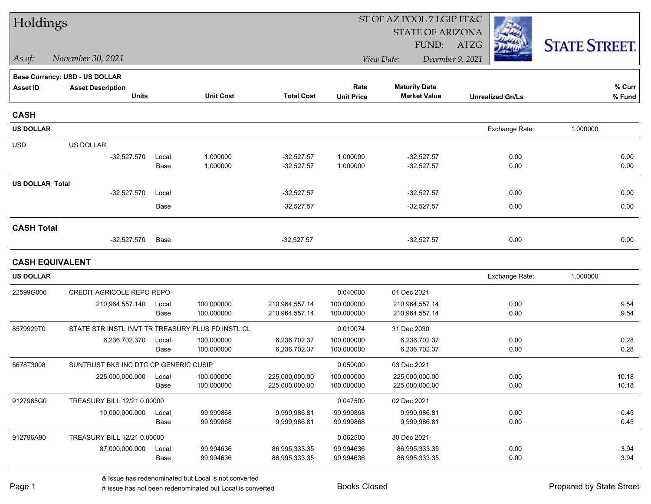| Holdings               |                                                   |               |                        |                                |                        | ST OF AZ POOL 7 LGIP FF&C      |                         |                      |
|------------------------|---------------------------------------------------|---------------|------------------------|--------------------------------|------------------------|--------------------------------|-------------------------|----------------------|
|                        |                                                   |               |                        |                                |                        | <b>STATE OF ARIZONA</b>        |                         |                      |
|                        |                                                   |               |                        |                                |                        | FUND:                          | ATZG                    | <b>STATE STREET.</b> |
| As of:                 | November 30, 2021                                 |               |                        |                                |                        | View Date:                     | December 9, 2021        |                      |
|                        | Base Currency: USD - US DOLLAR                    |               |                        |                                |                        |                                |                         |                      |
| <b>Asset ID</b>        | <b>Asset Description</b>                          |               |                        |                                | Rate                   | <b>Maturity Date</b>           |                         | % Curr               |
|                        | <b>Units</b>                                      |               | <b>Unit Cost</b>       | <b>Total Cost</b>              | <b>Unit Price</b>      | <b>Market Value</b>            | <b>Unrealized Gn/Ls</b> | % Fund               |
| <b>CASH</b>            |                                                   |               |                        |                                |                        |                                |                         |                      |
| <b>US DOLLAR</b>       |                                                   |               |                        |                                |                        |                                | Exchange Rate:          | 1.000000             |
| <b>USD</b>             | US DOLLAR                                         |               |                        |                                |                        |                                |                         |                      |
|                        | $-32,527.570$                                     | Local         | 1.000000               | $-32,527.57$                   | 1.000000               | $-32,527.57$                   | 0.00                    | 0.00                 |
|                        |                                                   | Base          | 1.000000               | $-32,527.57$                   | 1.000000               | $-32,527.57$                   | 0.00                    | 0.00                 |
| <b>US DOLLAR Total</b> |                                                   |               |                        |                                |                        |                                |                         |                      |
|                        | $-32,527.570$                                     | Local         |                        | $-32,527.57$                   |                        | $-32,527.57$                   | 0.00                    | 0.00                 |
|                        |                                                   | Base          |                        | $-32,527.57$                   |                        | $-32,527.57$                   | 0.00                    | 0.00                 |
| <b>CASH Total</b>      |                                                   |               |                        |                                |                        |                                |                         |                      |
|                        | $-32,527.570$                                     | Base          |                        | $-32,527.57$                   |                        | $-32,527.57$                   | 0.00                    | 0.00                 |
| <b>CASH EQUIVALENT</b> |                                                   |               |                        |                                |                        |                                |                         |                      |
| <b>US DOLLAR</b>       |                                                   |               |                        |                                |                        |                                | Exchange Rate:          | 1.000000             |
| 22599G006              | CREDIT AGRICOLE REPO REPO                         |               |                        |                                | 0.040000               | 01 Dec 2021                    |                         |                      |
|                        | 210,964,557.140                                   | Local         | 100.000000             | 210,964,557.14                 | 100.000000             | 210,964,557.14                 | 0.00                    | 9.54                 |
|                        |                                                   | Base          | 100.000000             | 210,964,557.14                 | 100.000000             | 210,964,557.14                 | 0.00                    | 9.54                 |
| 8579929T0              | STATE STR INSTL INVT TR TREASURY PLUS FD INSTL CL |               |                        |                                | 0.010074               | 31 Dec 2030                    |                         |                      |
|                        | 6,236,702.370                                     | Local         | 100.000000             | 6,236,702.37                   | 100.000000             | 6,236,702.37                   | 0.00                    | 0.28                 |
|                        |                                                   | Base          | 100.000000             | 6,236,702.37                   | 100.000000             | 6,236,702.37                   | 0.00                    | 0.28                 |
| 8678T3008              | SUNTRUST BKS INC DTC CP GENERIC CUSIP             |               |                        |                                | 0.050000               | 03 Dec 2021                    |                         |                      |
|                        | 225,000,000.000                                   | Local         | 100.000000             | 225,000,000.00                 | 100.000000             | 225,000,000.00                 | 0.00                    | 10.18                |
|                        |                                                   | Base          | 100.000000             | 225,000,000.00                 | 100.000000             | 225,000,000.00                 | 0.00                    | 10.18                |
| 9127965G0              | TREASURY BILL 12/21 0.00000                       |               |                        |                                | 0.047500               | 02 Dec 2021                    |                         |                      |
|                        | 10,000,000.000                                    | Local<br>Base | 99.999868<br>99.999868 | 9,999,986.81<br>9,999,986.81   | 99.999868<br>99.999868 | 9,999,986.81<br>9,999,986.81   | 0.00<br>0.00            | 0.45<br>0.45         |
|                        |                                                   |               |                        |                                |                        |                                |                         |                      |
| 912796A90              | TREASURY BILL 12/21 0.00000                       |               |                        |                                | 0.062500               | 30 Dec 2021                    |                         |                      |
|                        | 87,000,000.000                                    | Local<br>Base | 99.994636<br>99.994636 | 86,995,333.35<br>86,995,333.35 | 99.994636<br>99.994636 | 86,995,333.35<br>86,995,333.35 | 0.00<br>0.00            | 3.94<br>3.94         |
|                        |                                                   |               |                        |                                |                        |                                |                         |                      |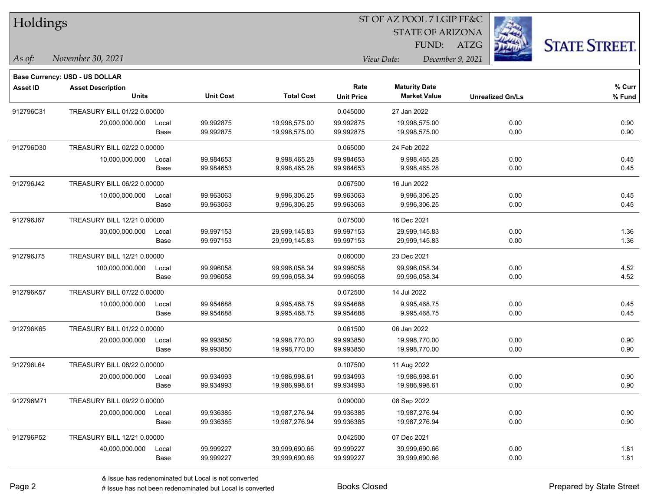| Holdings        |                                                            |       |                  |                   |                   | ST OF AZ POOL 7 LGIP FF&C |                         |                      |
|-----------------|------------------------------------------------------------|-------|------------------|-------------------|-------------------|---------------------------|-------------------------|----------------------|
|                 |                                                            |       |                  |                   |                   | <b>STATE OF ARIZONA</b>   |                         |                      |
|                 |                                                            |       |                  |                   |                   | FUND:                     | <b>ATZG</b>             | <b>STATE STREET.</b> |
| As of:          | November 30, 2021                                          |       |                  |                   |                   | View Date:                | December 9, 2021        |                      |
|                 |                                                            |       |                  |                   |                   |                           |                         |                      |
| <b>Asset ID</b> | Base Currency: USD - US DOLLAR<br><b>Asset Description</b> |       |                  |                   | Rate              | <b>Maturity Date</b>      |                         | $%$ Curr             |
|                 | <b>Units</b>                                               |       | <b>Unit Cost</b> | <b>Total Cost</b> | <b>Unit Price</b> | <b>Market Value</b>       | <b>Unrealized Gn/Ls</b> | % Fund               |
| 912796C31       | TREASURY BILL 01/22 0.00000                                |       |                  |                   | 0.045000          | 27 Jan 2022               |                         |                      |
|                 | 20,000,000.000                                             | Local | 99.992875        | 19,998,575.00     | 99.992875         | 19,998,575.00             | 0.00                    | 0.90                 |
|                 |                                                            | Base  | 99.992875        | 19,998,575.00     | 99.992875         | 19,998,575.00             | 0.00                    | 0.90                 |
| 912796D30       | TREASURY BILL 02/22 0.00000                                |       |                  |                   | 0.065000          | 24 Feb 2022               |                         |                      |
|                 | 10,000,000.000                                             | Local | 99.984653        | 9,998,465.28      | 99.984653         | 9,998,465.28              | 0.00                    | 0.45                 |
|                 |                                                            | Base  | 99.984653        | 9,998,465.28      | 99.984653         | 9,998,465.28              | 0.00                    | 0.45                 |
| 912796J42       | TREASURY BILL 06/22 0.00000                                |       |                  |                   | 0.067500          | 16 Jun 2022               |                         |                      |
|                 | 10,000,000.000                                             | Local | 99.963063        | 9,996,306.25      | 99.963063         | 9,996,306.25              | 0.00                    | 0.45                 |
|                 |                                                            | Base  | 99.963063        | 9,996,306.25      | 99.963063         | 9,996,306.25              | 0.00                    | 0.45                 |
| 912796J67       | TREASURY BILL 12/21 0.00000                                |       |                  |                   | 0.075000          | 16 Dec 2021               |                         |                      |
|                 | 30,000,000.000                                             | Local | 99.997153        | 29,999,145.83     | 99.997153         | 29,999,145.83             | 0.00                    | 1.36                 |
|                 |                                                            | Base  | 99.997153        | 29,999,145.83     | 99.997153         | 29,999,145.83             | 0.00                    | 1.36                 |
| 912796J75       | TREASURY BILL 12/21 0.00000                                |       |                  |                   | 0.060000          | 23 Dec 2021               |                         |                      |
|                 | 100,000,000.000                                            | Local | 99.996058        | 99,996,058.34     | 99.996058         | 99,996,058.34             | 0.00                    | 4.52                 |
|                 |                                                            | Base  | 99.996058        | 99,996,058.34     | 99.996058         | 99,996,058.34             | 0.00                    | 4.52                 |
| 912796K57       | TREASURY BILL 07/22 0.00000                                |       |                  |                   | 0.072500          | 14 Jul 2022               |                         |                      |
|                 | 10,000,000.000                                             | Local | 99.954688        | 9,995,468.75      | 99.954688         | 9,995,468.75              | 0.00                    | 0.45                 |
|                 |                                                            | Base  | 99.954688        | 9,995,468.75      | 99.954688         | 9,995,468.75              | 0.00                    | 0.45                 |
| 912796K65       | TREASURY BILL 01/22 0.00000                                |       |                  |                   | 0.061500          | 06 Jan 2022               |                         |                      |
|                 | 20,000,000.000                                             | Local | 99.993850        | 19,998,770.00     | 99.993850         | 19,998,770.00             | 0.00                    | 0.90                 |
|                 |                                                            | Base  | 99.993850        | 19,998,770.00     | 99.993850         | 19,998,770.00             | 0.00                    | 0.90                 |
| 912796L64       | TREASURY BILL 08/22 0.00000                                |       |                  |                   | 0.107500          | 11 Aug 2022               |                         |                      |
|                 | 20,000,000.000                                             | Local | 99.934993        | 19,986,998.61     | 99.934993         | 19,986,998.61             | 0.00                    | 0.90                 |
|                 |                                                            | Base  | 99.934993        | 19,986,998.61     | 99.934993         | 19,986,998.61             | 0.00                    | 0.90                 |
| 912796M71       | TREASURY BILL 09/22 0.00000                                |       |                  |                   | 0.090000          | 08 Sep 2022               |                         |                      |
|                 | 20,000,000.000                                             | Local | 99.936385        | 19,987,276.94     | 99.936385         | 19,987,276.94             | 0.00                    | 0.90                 |
|                 |                                                            | Base  | 99.936385        | 19,987,276.94     | 99.936385         | 19,987,276.94             | 0.00                    | 0.90                 |
| 912796P52       | TREASURY BILL 12/21 0.00000                                |       |                  |                   | 0.042500          | 07 Dec 2021               |                         |                      |
|                 | 40,000,000.000                                             | Local | 99.999227        | 39,999,690.66     | 99.999227         | 39,999,690.66             | 0.00                    | 1.81                 |
|                 |                                                            | Base  | 99.999227        | 39,999,690.66     | 99.999227         | 39,999,690.66             | 0.00                    | 1.81                 |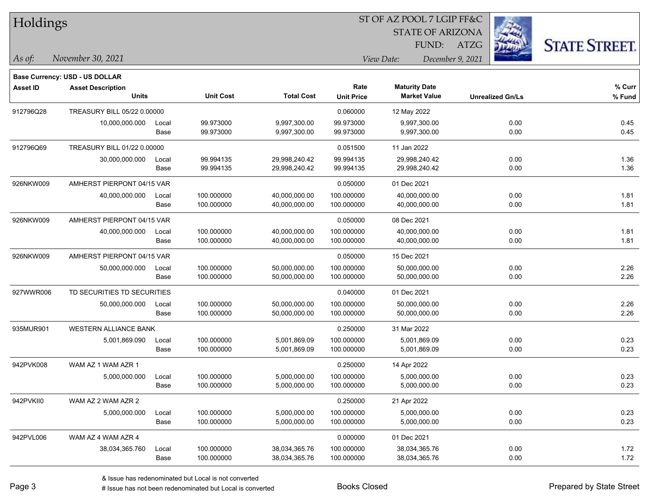| Holdings        |                                          |       |                  |                   |                           | <b>STATE OF ARIZONA</b>                     |                  |                         |                      |
|-----------------|------------------------------------------|-------|------------------|-------------------|---------------------------|---------------------------------------------|------------------|-------------------------|----------------------|
|                 |                                          |       |                  |                   |                           | FUND:                                       | <b>ATZG</b>      |                         | <b>STATE STREET.</b> |
| As of:          | November 30, 2021                        |       |                  |                   |                           | View Date:                                  | December 9, 2021 |                         |                      |
|                 | <b>Base Currency: USD - US DOLLAR</b>    |       |                  |                   |                           |                                             |                  |                         |                      |
| <b>Asset ID</b> | <b>Asset Description</b><br><b>Units</b> |       | <b>Unit Cost</b> | <b>Total Cost</b> | Rate<br><b>Unit Price</b> | <b>Maturity Date</b><br><b>Market Value</b> |                  | <b>Unrealized Gn/Ls</b> | % Curr<br>% Fund     |
| 912796Q28       | TREASURY BILL 05/22 0.00000              |       |                  |                   | 0.060000                  | 12 May 2022                                 |                  |                         |                      |
|                 | 10,000,000.000                           | Local | 99.973000        | 9,997,300.00      | 99.973000                 | 9,997,300.00                                |                  | 0.00                    | 0.45                 |
|                 |                                          | Base  | 99.973000        | 9,997,300.00      | 99.973000                 | 9,997,300.00                                |                  | 0.00                    | 0.45                 |
| 912796Q69       | TREASURY BILL 01/22 0.00000              |       |                  |                   | 0.051500                  | 11 Jan 2022                                 |                  |                         |                      |
|                 | 30,000,000.000                           | Local | 99.994135        | 29,998,240.42     | 99.994135                 | 29,998,240.42                               |                  | 0.00                    | 1.36                 |
|                 |                                          | Base  | 99.994135        | 29,998,240.42     | 99.994135                 | 29,998,240.42                               |                  | 0.00                    | 1.36                 |
| 926NKW009       | AMHERST PIERPONT 04/15 VAR               |       |                  |                   | 0.050000                  | 01 Dec 2021                                 |                  |                         |                      |
|                 | 40,000,000.000                           | Local | 100.000000       | 40,000,000.00     | 100.000000                | 40,000,000.00                               |                  | 0.00                    | 1.81                 |
|                 |                                          | Base  | 100.000000       | 40,000,000.00     | 100.000000                | 40,000,000.00                               |                  | 0.00                    | 1.81                 |
| 926NKW009       | AMHERST PIERPONT 04/15 VAR               |       |                  |                   | 0.050000                  | 08 Dec 2021                                 |                  |                         |                      |
|                 | 40,000,000.000                           | Local | 100.000000       | 40,000,000.00     | 100.000000                | 40,000,000.00                               |                  | 0.00                    | 1.81                 |
|                 |                                          | Base  | 100.000000       | 40,000,000.00     | 100.000000                | 40,000,000.00                               |                  | 0.00                    | 1.81                 |
| 926NKW009       | AMHERST PIERPONT 04/15 VAR               |       |                  |                   | 0.050000                  | 15 Dec 2021                                 |                  |                         |                      |
|                 | 50,000,000.000                           | Local | 100.000000       | 50,000,000.00     | 100.000000                | 50,000,000.00                               |                  | 0.00                    | 2.26                 |
|                 |                                          | Base  | 100.000000       | 50,000,000.00     | 100.000000                | 50,000,000.00                               |                  | 0.00                    | 2.26                 |
| 927WWR006       | TD SECURITIES TD SECURITIES              |       |                  |                   | 0.040000                  | 01 Dec 2021                                 |                  |                         |                      |
|                 | 50,000,000.000                           | Local | 100.000000       | 50,000,000.00     | 100.000000                | 50,000,000.00                               |                  | 0.00                    | 2.26                 |
|                 |                                          | Base  | 100.000000       | 50,000,000.00     | 100.000000                | 50,000,000.00                               |                  | 0.00                    | 2.26                 |
| 935MUR901       | <b>WESTERN ALLIANCE BANK</b>             |       |                  |                   | 0.250000                  | 31 Mar 2022                                 |                  |                         |                      |
|                 | 5,001,869.090                            | Local | 100.000000       | 5,001,869.09      | 100.000000                | 5,001,869.09                                |                  | 0.00                    | 0.23                 |
|                 |                                          | Base  | 100.000000       | 5,001,869.09      | 100.000000                | 5,001,869.09                                |                  | 0.00                    | 0.23                 |
| 942PVK008       | WAM AZ 1 WAM AZR 1                       |       |                  |                   | 0.250000                  | 14 Apr 2022                                 |                  |                         |                      |
|                 | 5,000,000.000                            | Local | 100.000000       | 5,000,000.00      | 100.000000                | 5,000,000.00                                |                  | 0.00                    | 0.23                 |
|                 |                                          | Base  | 100.000000       | 5,000,000.00      | 100.000000                | 5,000,000.00                                |                  | 0.00                    | 0.23                 |
| 942PVKII0       | WAM AZ 2 WAM AZR 2                       |       |                  |                   | 0.250000                  | 21 Apr 2022                                 |                  |                         |                      |
|                 | 5,000,000.000                            | Local | 100.000000       | 5,000,000.00      | 100.000000                | 5,000,000.00                                |                  | $0.00\,$                | 0.23                 |
|                 |                                          | Base  | 100.000000       | 5,000,000.00      | 100.000000                | 5,000,000.00                                |                  | 0.00                    | 0.23                 |
| 942PVL006       | WAM AZ 4 WAM AZR 4                       |       |                  |                   | 0.000000                  | 01 Dec 2021                                 |                  |                         |                      |
|                 | 38,034,365.760                           | Local | 100.000000       | 38,034,365.76     | 100.000000                | 38,034,365.76                               |                  | 0.00                    | 1.72                 |
|                 |                                          | Base  | 100.000000       | 38,034,365.76     | 100.000000                | 38,034,365.76                               |                  | 0.00                    | 1.72                 |

ST OF AZ POOL 7 LGIP FF&C

 $TT.1.1$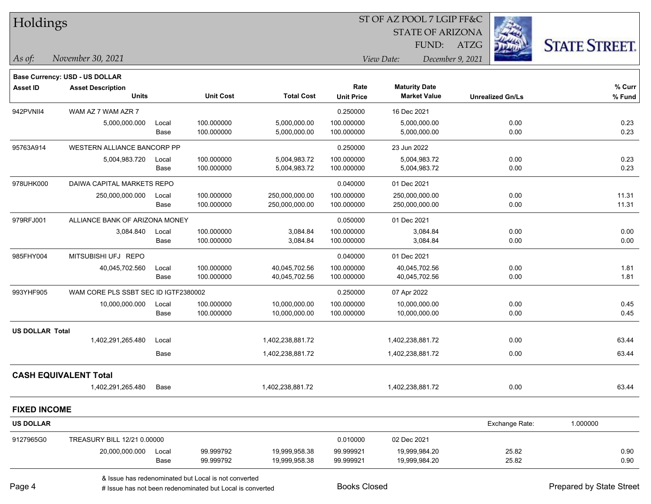| Holdings               |                                       |       |                  |                   |                   | ST OF AZ POOL 7 LGIP FF&C |                         |                      |
|------------------------|---------------------------------------|-------|------------------|-------------------|-------------------|---------------------------|-------------------------|----------------------|
|                        |                                       |       |                  |                   |                   | <b>STATE OF ARIZONA</b>   |                         |                      |
|                        |                                       |       |                  |                   |                   | FUND:                     | ATZG                    | <b>STATE STREET.</b> |
| As of:                 | November 30, 2021                     |       |                  |                   |                   | View Date:                | December 9, 2021        |                      |
|                        | <b>Base Currency: USD - US DOLLAR</b> |       |                  |                   |                   |                           |                         |                      |
| <b>Asset ID</b>        | <b>Asset Description</b>              |       |                  |                   | Rate              | <b>Maturity Date</b>      |                         | % Curr               |
|                        | <b>Units</b>                          |       | <b>Unit Cost</b> | <b>Total Cost</b> | <b>Unit Price</b> | <b>Market Value</b>       | <b>Unrealized Gn/Ls</b> | % Fund               |
| 942PVNII4              | WAM AZ 7 WAM AZR 7                    |       |                  |                   | 0.250000          | 16 Dec 2021               |                         |                      |
|                        | 5,000,000.000                         | Local | 100.000000       | 5,000,000.00      | 100.000000        | 5,000,000.00              | 0.00                    | 0.23                 |
|                        |                                       | Base  | 100.000000       | 5,000,000.00      | 100.000000        | 5,000,000.00              | 0.00                    | 0.23                 |
| 95763A914              | WESTERN ALLIANCE BANCORP PP           |       |                  |                   | 0.250000          | 23 Jun 2022               |                         |                      |
|                        | 5,004,983.720                         | Local | 100.000000       | 5,004,983.72      | 100.000000        | 5,004,983.72              | 0.00                    | 0.23                 |
|                        |                                       | Base  | 100.000000       | 5,004,983.72      | 100.000000        | 5,004,983.72              | 0.00                    | 0.23                 |
| 978UHK000              | DAIWA CAPITAL MARKETS REPO            |       |                  |                   | 0.040000          | 01 Dec 2021               |                         |                      |
|                        | 250,000,000.000                       | Local | 100.000000       | 250,000,000.00    | 100.000000        | 250,000,000.00            | 0.00                    | 11.31                |
|                        |                                       | Base  | 100.000000       | 250,000,000.00    | 100.000000        | 250,000,000.00            | 0.00                    | 11.31                |
| 979RFJ001              | ALLIANCE BANK OF ARIZONA MONEY        |       |                  |                   | 0.050000          | 01 Dec 2021               |                         |                      |
|                        | 3,084.840                             | Local | 100.000000       | 3,084.84          | 100.000000        | 3,084.84                  | 0.00                    | 0.00                 |
|                        |                                       | Base  | 100.000000       | 3,084.84          | 100.000000        | 3,084.84                  | 0.00                    | 0.00                 |
| 985FHY004              | MITSUBISHI UFJ REPO                   |       |                  |                   | 0.040000          | 01 Dec 2021               |                         |                      |
|                        | 40,045,702.560                        | Local | 100.000000       | 40,045,702.56     | 100.000000        | 40,045,702.56             | 0.00                    | 1.81                 |
|                        |                                       | Base  | 100.000000       | 40,045,702.56     | 100.000000        | 40,045,702.56             | 0.00                    | 1.81                 |
| 993YHF905              | WAM CORE PLS SSBT SEC ID IGTF2380002  |       |                  |                   | 0.250000          | 07 Apr 2022               |                         |                      |
|                        | 10,000,000.000                        | Local | 100.000000       | 10,000,000.00     | 100.000000        | 10,000,000.00             | 0.00                    | 0.45                 |
|                        |                                       | Base  | 100.000000       | 10,000,000.00     | 100.000000        | 10,000,000.00             | 0.00                    | 0.45                 |
| <b>US DOLLAR Total</b> |                                       |       |                  |                   |                   |                           |                         |                      |
|                        | 1,402,291,265.480                     | Local |                  | 1,402,238,881.72  |                   | 1,402,238,881.72          | 0.00                    | 63.44                |
|                        |                                       | Base  |                  | 1,402,238,881.72  |                   | 1,402,238,881.72          | 0.00                    | 63.44                |
|                        | <b>CASH EQUIVALENT Total</b>          |       |                  |                   |                   |                           |                         |                      |
|                        | 1,402,291,265.480                     | Base  |                  | 1,402,238,881.72  |                   | 1,402,238,881.72          | 0.00                    | 63.44                |
| <b>FIXED INCOME</b>    |                                       |       |                  |                   |                   |                           |                         |                      |
| <b>US DOLLAR</b>       |                                       |       |                  |                   |                   |                           | Exchange Rate:          | 1.000000             |
| 9127965G0              | TREASURY BILL 12/21 0.00000           |       |                  |                   | 0.010000          | 02 Dec 2021               |                         |                      |
|                        | 20,000,000.000                        | Local | 99.999792        | 19,999,958.38     | 99.999921         | 19,999,984.20             | 25.82                   | 0.90                 |
|                        |                                       | Base  | 99.999792        | 19,999,958.38     | 99.999921         | 19,999,984.20             | 25.82                   | 0.90                 |
|                        |                                       |       |                  |                   |                   |                           |                         |                      |

& Issue has redenominated but Local is not converted

# Issue has not been redenominated but Local is converted Books Closed Prepared by State Street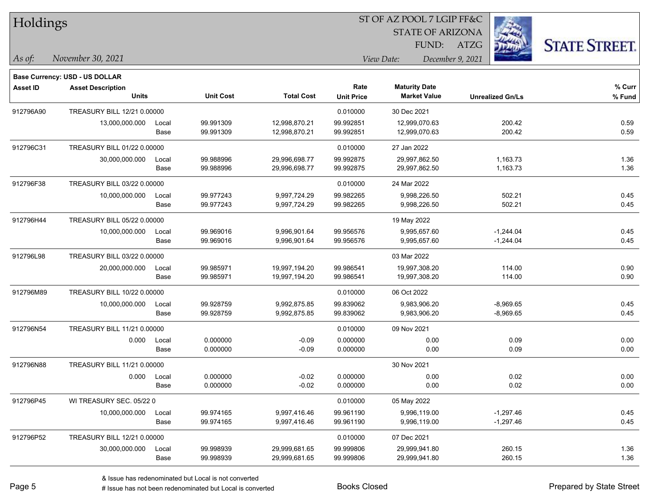| Holdings        |                                          |       |                  |                   |                   | ST OF AZ POOL 7 LGIP FF&C |                         |                      |
|-----------------|------------------------------------------|-------|------------------|-------------------|-------------------|---------------------------|-------------------------|----------------------|
|                 |                                          |       |                  |                   |                   | <b>STATE OF ARIZONA</b>   |                         |                      |
|                 |                                          |       |                  |                   |                   | FUND:                     | ATZG                    | <b>STATE STREET.</b> |
| As of:          | November 30, 2021                        |       |                  |                   |                   | View Date:                | December 9, 2021        |                      |
|                 |                                          |       |                  |                   |                   |                           |                         |                      |
|                 | <b>Base Currency: USD - US DOLLAR</b>    |       |                  |                   | Rate              | <b>Maturity Date</b>      |                         | % Curr               |
| <b>Asset ID</b> | <b>Asset Description</b><br><b>Units</b> |       | <b>Unit Cost</b> | <b>Total Cost</b> | <b>Unit Price</b> | <b>Market Value</b>       | <b>Unrealized Gn/Ls</b> | % Fund               |
| 912796A90       | TREASURY BILL 12/21 0.00000              |       |                  |                   | 0.010000          | 30 Dec 2021               |                         |                      |
|                 | 13,000,000.000                           | Local | 99.991309        | 12,998,870.21     | 99.992851         | 12,999,070.63             | 200.42                  | 0.59                 |
|                 |                                          | Base  | 99.991309        | 12,998,870.21     | 99.992851         | 12,999,070.63             | 200.42                  | 0.59                 |
| 912796C31       | TREASURY BILL 01/22 0.00000              |       |                  |                   | 0.010000          | 27 Jan 2022               |                         |                      |
|                 | 30,000,000.000                           | Local | 99.988996        | 29,996,698.77     | 99.992875         | 29,997,862.50             | 1,163.73                | 1.36                 |
|                 |                                          | Base  | 99.988996        | 29,996,698.77     | 99.992875         | 29,997,862.50             | 1,163.73                | 1.36                 |
| 912796F38       | TREASURY BILL 03/22 0.00000              |       |                  |                   | 0.010000          | 24 Mar 2022               |                         |                      |
|                 | 10,000,000.000                           | Local | 99.977243        | 9,997,724.29      | 99.982265         | 9,998,226.50              | 502.21                  | 0.45                 |
|                 |                                          | Base  | 99.977243        | 9,997,724.29      | 99.982265         | 9,998,226.50              | 502.21                  | 0.45                 |
| 912796H44       | TREASURY BILL 05/22 0.00000              |       |                  |                   |                   | 19 May 2022               |                         |                      |
|                 | 10,000,000.000                           | Local | 99.969016        | 9,996,901.64      | 99.956576         | 9,995,657.60              | $-1,244.04$             | 0.45                 |
|                 |                                          | Base  | 99.969016        | 9,996,901.64      | 99.956576         | 9,995,657.60              | $-1,244.04$             | 0.45                 |
| 912796L98       | TREASURY BILL 03/22 0.00000              |       |                  |                   |                   | 03 Mar 2022               |                         |                      |
|                 | 20,000,000.000                           | Local | 99.985971        | 19,997,194.20     | 99.986541         | 19,997,308.20             | 114.00                  | 0.90                 |
|                 |                                          | Base  | 99.985971        | 19,997,194.20     | 99.986541         | 19,997,308.20             | 114.00                  | 0.90                 |
| 912796M89       | TREASURY BILL 10/22 0.00000              |       |                  |                   | 0.010000          | 06 Oct 2022               |                         |                      |
|                 | 10,000,000.000                           | Local | 99.928759        | 9,992,875.85      | 99.839062         | 9,983,906.20              | $-8,969.65$             | 0.45                 |
|                 |                                          | Base  | 99.928759        | 9,992,875.85      | 99.839062         | 9,983,906.20              | $-8,969.65$             | 0.45                 |
| 912796N54       | TREASURY BILL 11/21 0.00000              |       |                  |                   | 0.010000          | 09 Nov 2021               |                         |                      |
|                 | 0.000                                    | Local | 0.000000         | $-0.09$           | 0.000000          | 0.00                      | 0.09                    | 0.00                 |
|                 |                                          | Base  | 0.000000         | $-0.09$           | 0.000000          | 0.00                      | 0.09                    | 0.00                 |
| 912796N88       | TREASURY BILL 11/21 0.00000              |       |                  |                   |                   | 30 Nov 2021               |                         |                      |
|                 | 0.000                                    | Local | 0.000000         | $-0.02$           | 0.000000          | 0.00                      | 0.02                    | 0.00                 |
|                 |                                          | Base  | 0.000000         | $-0.02$           | 0.000000          | 0.00                      | 0.02                    | 0.00                 |
| 912796P45       | WI TREASURY SEC. 05/22 0                 |       |                  |                   | 0.010000          | 05 May 2022               |                         |                      |
|                 | 10,000,000.000                           | Local | 99.974165        | 9,997,416.46      | 99.961190         | 9,996,119.00              | $-1,297.46$             | 0.45                 |
|                 |                                          | Base  | 99.974165        | 9,997,416.46      | 99.961190         | 9,996,119.00              | $-1,297.46$             | 0.45                 |
| 912796P52       | TREASURY BILL 12/21 0.00000              |       |                  |                   | 0.010000          | 07 Dec 2021               |                         |                      |
|                 | 30,000,000.000                           | Local | 99.998939        | 29,999,681.65     | 99.999806         | 29,999,941.80             | 260.15                  | 1.36                 |
|                 |                                          | Base  | 99.998939        | 29,999,681.65     | 99.999806         | 29,999,941.80             | 260.15                  | 1.36                 |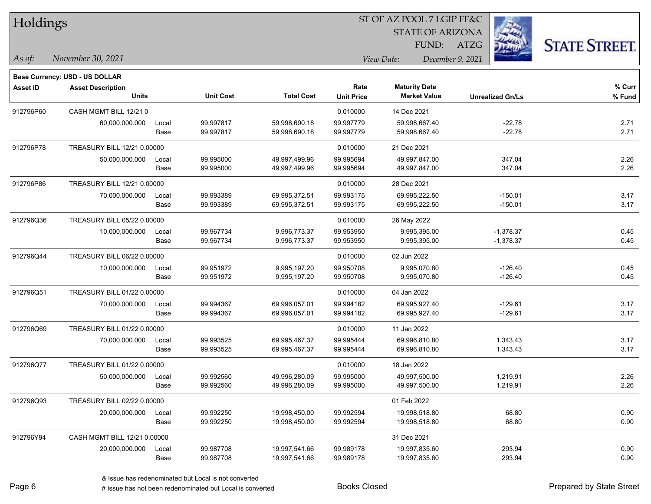| Holdings        |                                                            |       |                  |                   |                   | ST OF AZ POOL 7 LGIP FF&C |                         |                      |
|-----------------|------------------------------------------------------------|-------|------------------|-------------------|-------------------|---------------------------|-------------------------|----------------------|
|                 |                                                            |       |                  |                   |                   | <b>STATE OF ARIZONA</b>   |                         |                      |
|                 |                                                            |       |                  |                   |                   | FUND:                     | <b>ATZG</b>             | <b>STATE STREET.</b> |
| As of:          | November 30, 2021                                          |       |                  |                   |                   | View Date:                | December 9, 2021        |                      |
|                 |                                                            |       |                  |                   |                   |                           |                         |                      |
| <b>Asset ID</b> | Base Currency: USD - US DOLLAR<br><b>Asset Description</b> |       |                  |                   | Rate              | <b>Maturity Date</b>      |                         | % Curr               |
|                 | Units                                                      |       | <b>Unit Cost</b> | <b>Total Cost</b> | <b>Unit Price</b> | <b>Market Value</b>       | <b>Unrealized Gn/Ls</b> | % Fund               |
| 912796P60       | CASH MGMT BILL 12/21 0                                     |       |                  |                   | 0.010000          | 14 Dec 2021               |                         |                      |
|                 | 60,000,000.000                                             | Local | 99.997817        | 59,998,690.18     | 99.997779         | 59,998,667.40             | $-22.78$                | 2.71                 |
|                 |                                                            | Base  | 99.997817        | 59,998,690.18     | 99.997779         | 59,998,667.40             | $-22.78$                | 2.71                 |
| 912796P78       | TREASURY BILL 12/21 0.00000                                |       |                  |                   | 0.010000          | 21 Dec 2021               |                         |                      |
|                 | 50,000,000.000                                             | Local | 99.995000        | 49,997,499.96     | 99.995694         | 49,997,847.00             | 347.04                  | 2.26                 |
|                 |                                                            | Base  | 99.995000        | 49,997,499.96     | 99.995694         | 49,997,847.00             | 347.04                  | 2.26                 |
| 912796P86       | TREASURY BILL 12/21 0.00000                                |       |                  |                   | 0.010000          | 28 Dec 2021               |                         |                      |
|                 | 70,000,000.000                                             | Local | 99.993389        | 69,995,372.51     | 99.993175         | 69,995,222.50             | $-150.01$               | 3.17                 |
|                 |                                                            | Base  | 99.993389        | 69,995,372.51     | 99.993175         | 69,995,222.50             | $-150.01$               | 3.17                 |
| 912796Q36       | TREASURY BILL 05/22 0.00000                                |       |                  |                   | 0.010000          | 26 May 2022               |                         |                      |
|                 | 10,000,000.000                                             | Local | 99.967734        | 9,996,773.37      | 99.953950         | 9,995,395.00              | $-1,378.37$             | 0.45                 |
|                 |                                                            | Base  | 99.967734        | 9,996,773.37      | 99.953950         | 9,995,395.00              | $-1,378.37$             | 0.45                 |
| 912796Q44       | TREASURY BILL 06/22 0.00000                                |       |                  |                   | 0.010000          | 02 Jun 2022               |                         |                      |
|                 | 10,000,000.000                                             | Local | 99.951972        | 9,995,197.20      | 99.950708         | 9,995,070.80              | $-126.40$               | 0.45                 |
|                 |                                                            | Base  | 99.951972        | 9,995,197.20      | 99.950708         | 9,995,070.80              | $-126.40$               | 0.45                 |
| 912796Q51       | TREASURY BILL 01/22 0.00000                                |       |                  |                   | 0.010000          | 04 Jan 2022               |                         |                      |
|                 | 70,000,000.000                                             | Local | 99.994367        | 69,996,057.01     | 99.994182         | 69,995,927.40             | $-129.61$               | 3.17                 |
|                 |                                                            | Base  | 99.994367        | 69,996,057.01     | 99.994182         | 69,995,927.40             | $-129.61$               | 3.17                 |
| 912796Q69       | TREASURY BILL 01/22 0.00000                                |       |                  |                   | 0.010000          | 11 Jan 2022               |                         |                      |
|                 | 70,000,000.000                                             | Local | 99.993525        | 69,995,467.37     | 99.995444         | 69,996,810.80             | 1,343.43                | 3.17                 |
|                 |                                                            | Base  | 99.993525        | 69,995,467.37     | 99.995444         | 69,996,810.80             | 1,343.43                | 3.17                 |
| 912796Q77       | TREASURY BILL 01/22 0.00000                                |       |                  |                   | 0.010000          | 18 Jan 2022               |                         |                      |
|                 | 50,000,000.000                                             | Local | 99.992560        | 49,996,280.09     | 99.995000         | 49,997,500.00             | 1,219.91                | 2.26                 |
|                 |                                                            | Base  | 99.992560        | 49,996,280.09     | 99.995000         | 49,997,500.00             | 1,219.91                | 2.26                 |
| 912796Q93       | TREASURY BILL 02/22 0.00000                                |       |                  |                   |                   | 01 Feb 2022               |                         |                      |
|                 | 20,000,000.000                                             | Local | 99.992250        | 19,998,450.00     | 99.992594         | 19,998,518.80             | 68.80                   | 0.90                 |
|                 |                                                            | Base  | 99.992250        | 19,998,450.00     | 99.992594         | 19,998,518.80             | 68.80                   | 0.90                 |
| 912796Y94       | CASH MGMT BILL 12/21 0.00000                               |       |                  |                   |                   | 31 Dec 2021               |                         |                      |
|                 | 20,000,000.000                                             | Local | 99.987708        | 19,997,541.66     | 99.989178         | 19,997,835.60             | 293.94                  | 0.90                 |
|                 |                                                            | Base  | 99.987708        | 19,997,541.66     | 99.989178         | 19,997,835.60             | 293.94                  | 0.90                 |

# Issue has not been redenominated but Local is converted Books Closed Prepared by State Street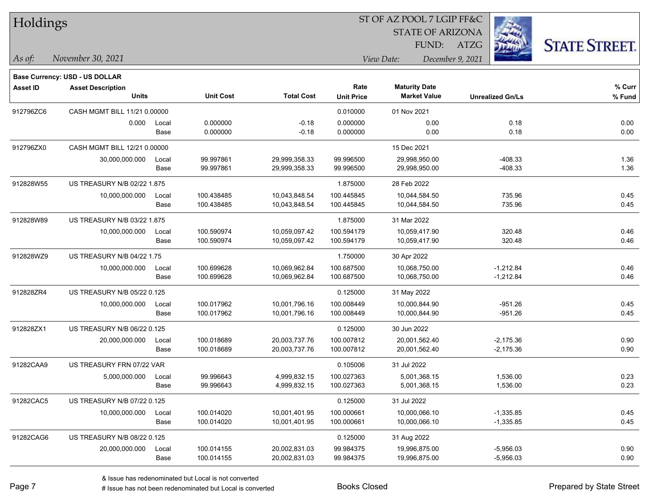| Holdings        |                                    |       |                  |                   |                   | ST OF AZ POOL 7 LGIP FF&C |                         |                      |
|-----------------|------------------------------------|-------|------------------|-------------------|-------------------|---------------------------|-------------------------|----------------------|
|                 |                                    |       |                  |                   |                   | <b>STATE OF ARIZONA</b>   |                         |                      |
|                 |                                    |       |                  |                   |                   | FUND:                     | ATZG                    | <b>STATE STREET.</b> |
| As of:          | November 30, 2021                  |       |                  |                   |                   | View Date:                | December 9, 2021        |                      |
|                 | Base Currency: USD - US DOLLAR     |       |                  |                   |                   |                           |                         |                      |
| <b>Asset ID</b> | <b>Asset Description</b>           |       |                  |                   | Rate              | <b>Maturity Date</b>      |                         | % Curr               |
|                 | <b>Units</b>                       |       | <b>Unit Cost</b> | <b>Total Cost</b> | <b>Unit Price</b> | <b>Market Value</b>       | <b>Unrealized Gn/Ls</b> | % Fund               |
| 912796ZC6       | CASH MGMT BILL 11/21 0.00000       |       |                  |                   | 0.010000          | 01 Nov 2021               |                         |                      |
|                 | 0.000                              | Local | 0.000000         | $-0.18$           | 0.000000          | 0.00                      | 0.18                    | 0.00                 |
|                 |                                    | Base  | 0.000000         | $-0.18$           | 0.000000          | 0.00                      | 0.18                    | 0.00                 |
| 912796ZX0       | CASH MGMT BILL 12/21 0.00000       |       |                  |                   |                   | 15 Dec 2021               |                         |                      |
|                 | 30,000,000.000                     | Local | 99.997861        | 29,999,358.33     | 99.996500         | 29,998,950.00             | $-408.33$               | 1.36                 |
|                 |                                    | Base  | 99.997861        | 29,999,358.33     | 99.996500         | 29,998,950.00             | $-408.33$               | 1.36                 |
| 912828W55       | <b>US TREASURY N/B 02/22 1.875</b> |       |                  |                   | 1.875000          | 28 Feb 2022               |                         |                      |
|                 | 10,000,000.000                     | Local | 100.438485       | 10,043,848.54     | 100.445845        | 10,044,584.50             | 735.96                  | 0.45                 |
|                 |                                    | Base  | 100.438485       | 10,043,848.54     | 100.445845        | 10,044,584.50             | 735.96                  | 0.45                 |
| 912828W89       | US TREASURY N/B 03/22 1.875        |       |                  |                   | 1.875000          | 31 Mar 2022               |                         |                      |
|                 | 10,000,000.000                     | Local | 100.590974       | 10,059,097.42     | 100.594179        | 10,059,417.90             | 320.48                  | 0.46                 |
|                 |                                    | Base  | 100.590974       | 10,059,097.42     | 100.594179        | 10,059,417.90             | 320.48                  | 0.46                 |
| 912828WZ9       | US TREASURY N/B 04/22 1.75         |       |                  |                   | 1.750000          | 30 Apr 2022               |                         |                      |
|                 | 10,000,000.000                     | Local | 100.699628       | 10,069,962.84     | 100.687500        | 10,068,750.00             | $-1,212.84$             | 0.46                 |
|                 |                                    | Base  | 100.699628       | 10,069,962.84     | 100.687500        | 10,068,750.00             | $-1,212.84$             | 0.46                 |
| 912828ZR4       | US TREASURY N/B 05/22 0.125        |       |                  |                   | 0.125000          | 31 May 2022               |                         |                      |
|                 | 10,000,000.000                     | Local | 100.017962       | 10,001,796.16     | 100.008449        | 10,000,844.90             | $-951.26$               | 0.45                 |
|                 |                                    | Base  | 100.017962       | 10,001,796.16     | 100.008449        | 10,000,844.90             | $-951.26$               | 0.45                 |
| 912828ZX1       | US TREASURY N/B 06/22 0.125        |       |                  |                   | 0.125000          | 30 Jun 2022               |                         |                      |
|                 | 20,000,000.000                     | Local | 100.018689       | 20,003,737.76     | 100.007812        | 20,001,562.40             | $-2,175.36$             | 0.90                 |
|                 |                                    | Base  | 100.018689       | 20,003,737.76     | 100.007812        | 20,001,562.40             | $-2,175.36$             | 0.90                 |
| 91282CAA9       | US TREASURY FRN 07/22 VAR          |       |                  |                   | 0.105006          | 31 Jul 2022               |                         |                      |
|                 | 5,000,000.000                      | Local | 99.996643        | 4,999,832.15      | 100.027363        | 5,001,368.15              | 1,536.00                | 0.23                 |
|                 |                                    | Base  | 99.996643        | 4,999,832.15      | 100.027363        | 5,001,368.15              | 1,536.00                | 0.23                 |
| 91282CAC5       | US TREASURY N/B 07/22 0.125        |       |                  |                   | 0.125000          | 31 Jul 2022               |                         |                      |
|                 | 10,000,000.000                     | Local | 100.014020       | 10,001,401.95     | 100.000661        | 10,000,066.10             | $-1,335.85$             | 0.45                 |
|                 |                                    | Base  | 100.014020       | 10,001,401.95     | 100.000661        | 10,000,066.10             | $-1,335.85$             | 0.45                 |
| 91282CAG6       | US TREASURY N/B 08/22 0.125        |       |                  |                   | 0.125000          | 31 Aug 2022               |                         |                      |
|                 | 20,000,000.000                     | Local | 100.014155       | 20,002,831.03     | 99.984375         | 19,996,875.00             | $-5,956.03$             | 0.90                 |
|                 |                                    | Base  | 100.014155       | 20,002,831.03     | 99.984375         | 19,996,875.00             | $-5,956.03$             | 0.90                 |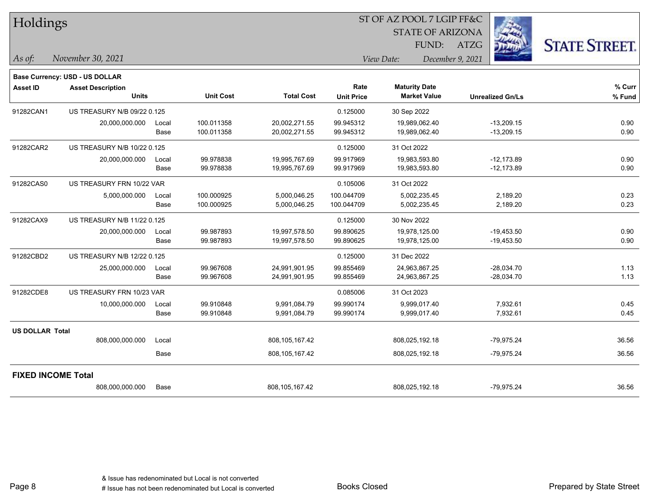| Holdings               |                                          |       |                  | ST OF AZ POOL 7 LGIP FF&C |                           |                                             |                         |                      |  |  |  |
|------------------------|------------------------------------------|-------|------------------|---------------------------|---------------------------|---------------------------------------------|-------------------------|----------------------|--|--|--|
|                        |                                          |       |                  |                           |                           | <b>STATE OF ARIZONA</b>                     |                         |                      |  |  |  |
|                        |                                          |       |                  |                           |                           | FUND:                                       | <b>ATZG</b>             | <b>STATE STREET.</b> |  |  |  |
| As of:                 | November 30, 2021                        |       |                  |                           |                           | View Date:                                  | December 9, 2021        |                      |  |  |  |
|                        | <b>Base Currency: USD - US DOLLAR</b>    |       |                  |                           |                           |                                             |                         |                      |  |  |  |
| <b>Asset ID</b>        | <b>Asset Description</b><br><b>Units</b> |       | <b>Unit Cost</b> | <b>Total Cost</b>         | Rate<br><b>Unit Price</b> | <b>Maturity Date</b><br><b>Market Value</b> | <b>Unrealized Gn/Ls</b> | % Curr<br>% Fund     |  |  |  |
| 91282CAN1              | US TREASURY N/B 09/22 0.125              |       |                  |                           | 0.125000                  | 30 Sep 2022                                 |                         |                      |  |  |  |
|                        | 20,000,000.000                           | Local | 100.011358       | 20,002,271.55             | 99.945312                 | 19,989,062.40                               | $-13,209.15$            | 0.90                 |  |  |  |
|                        |                                          | Base  | 100.011358       | 20,002,271.55             | 99.945312                 | 19,989,062.40                               | $-13,209.15$            | 0.90                 |  |  |  |
| 91282CAR2              | US TREASURY N/B 10/22 0.125              |       |                  |                           | 0.125000                  | 31 Oct 2022                                 |                         |                      |  |  |  |
|                        | 20,000,000.000                           | Local | 99.978838        | 19,995,767.69             | 99.917969                 | 19,983,593.80                               | $-12,173.89$            | 0.90                 |  |  |  |
|                        |                                          | Base  | 99.978838        | 19,995,767.69             | 99.917969                 | 19,983,593.80                               | $-12,173.89$            | 0.90                 |  |  |  |
| 91282CAS0              | US TREASURY FRN 10/22 VAR                |       |                  |                           | 0.105006                  | 31 Oct 2022                                 |                         |                      |  |  |  |
|                        | 5,000,000.000                            | Local | 100.000925       | 5,000,046.25              | 100.044709                | 5,002,235.45                                | 2,189.20                | 0.23                 |  |  |  |
|                        |                                          | Base  | 100.000925       | 5,000,046.25              | 100.044709                | 5,002,235.45                                | 2,189.20                | 0.23                 |  |  |  |
| 91282CAX9              | US TREASURY N/B 11/22 0.125              |       |                  |                           | 0.125000                  | 30 Nov 2022                                 |                         |                      |  |  |  |
|                        | 20,000,000.000                           | Local | 99.987893        | 19,997,578.50             | 99.890625                 | 19,978,125.00                               | $-19,453.50$            | 0.90                 |  |  |  |
|                        |                                          | Base  | 99.987893        | 19,997,578.50             | 99.890625                 | 19,978,125.00                               | $-19,453.50$            | 0.90                 |  |  |  |
| 91282CBD2              | US TREASURY N/B 12/22 0.125              |       |                  |                           | 0.125000                  | 31 Dec 2022                                 |                         |                      |  |  |  |
|                        | 25,000,000.000                           | Local | 99.967608        | 24,991,901.95             | 99.855469                 | 24,963,867.25                               | $-28,034.70$            | 1.13                 |  |  |  |
|                        |                                          | Base  | 99.967608        | 24,991,901.95             | 99.855469                 | 24,963,867.25                               | -28,034.70              | 1.13                 |  |  |  |
| 91282CDE8              | US TREASURY FRN 10/23 VAR                |       |                  |                           | 0.085006                  | 31 Oct 2023                                 |                         |                      |  |  |  |
|                        | 10,000,000.000                           | Local | 99.910848        | 9,991,084.79              | 99.990174                 | 9,999,017.40                                | 7,932.61                | 0.45                 |  |  |  |
|                        |                                          | Base  | 99.910848        | 9,991,084.79              | 99.990174                 | 9,999,017.40                                | 7,932.61                | 0.45                 |  |  |  |
| <b>US DOLLAR Total</b> |                                          |       |                  |                           |                           |                                             |                         |                      |  |  |  |
|                        | 808,000,000.000                          | Local |                  | 808,105,167.42            |                           | 808,025,192.18                              | $-79,975.24$            | 36.56                |  |  |  |
|                        |                                          | Base  |                  | 808,105,167.42            |                           | 808,025,192.18                              | $-79,975.24$            | 36.56                |  |  |  |
|                        | <b>FIXED INCOME Total</b>                |       |                  |                           |                           |                                             |                         |                      |  |  |  |
|                        | 808,000,000.000                          | Base  |                  | 808,105,167.42            |                           | 808,025,192.18                              | $-79,975.24$            | 36.56                |  |  |  |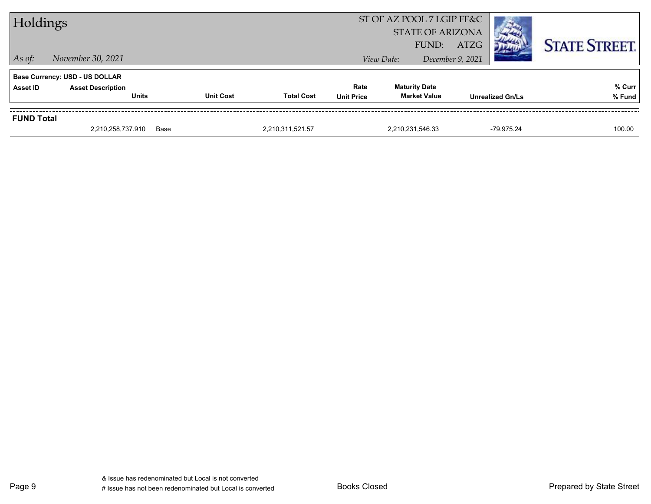| Holdings          |                                          |                  |                   |                           | ST OF AZ POOL 7 LGIP FF&C<br><b>STATE OF ARIZONA</b><br>FUND: | ATZG                    |            | <b>STATE STREET.</b> |
|-------------------|------------------------------------------|------------------|-------------------|---------------------------|---------------------------------------------------------------|-------------------------|------------|----------------------|
| $\vert$ As of:    | November 30, 2021                        |                  |                   |                           | View Date:                                                    | December 9, 2021        |            |                      |
|                   | <b>Base Currency: USD - US DOLLAR</b>    |                  |                   |                           |                                                               |                         |            |                      |
| Asset ID          | <b>Asset Description</b><br><b>Units</b> | <b>Unit Cost</b> | <b>Total Cost</b> | Rate<br><b>Unit Price</b> | <b>Maturity Date</b><br><b>Market Value</b>                   | <b>Unrealized Gn/Ls</b> |            | % Curr<br>% Fund     |
|                   |                                          |                  |                   |                           |                                                               |                         |            |                      |
| <b>FUND Total</b> |                                          |                  |                   |                           |                                                               |                         |            |                      |
|                   | 2,210,258,737.910                        | Base             | 2,210,311,521.57  |                           | 2,210,231,546.33                                              |                         | -79.975.24 | 100.00               |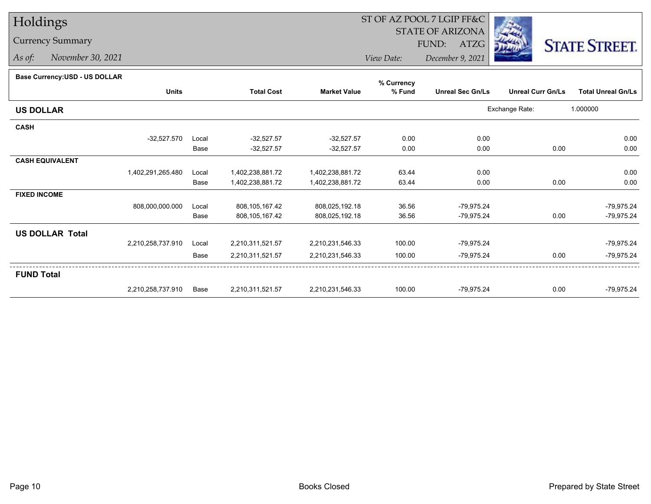## Holdings

## Currency Summary

*As of: November 30, 2021*

## ST OF AZ POOL 7 LGIP FF&C

STATE OF ARIZONA

FUND: ATZG



*View Date:December 9, 2021*

| Base Currency: USD - US DOLLAR |  |
|--------------------------------|--|

| Dase Currency: USD - US DULLAR |                   |       |                   |                     | % Currency |                         |                          |                           |
|--------------------------------|-------------------|-------|-------------------|---------------------|------------|-------------------------|--------------------------|---------------------------|
|                                | <b>Units</b>      |       | <b>Total Cost</b> | <b>Market Value</b> | % Fund     | <b>Unreal Sec Gn/Ls</b> | <b>Unreal Curr Gn/Ls</b> | <b>Total Unreal Gn/Ls</b> |
| <b>US DOLLAR</b>               |                   |       |                   |                     |            |                         | Exchange Rate:           | 1.000000                  |
| <b>CASH</b>                    |                   |       |                   |                     |            |                         |                          |                           |
|                                | $-32,527.570$     | Local | $-32,527.57$      | $-32,527.57$        | 0.00       | 0.00                    |                          | 0.00                      |
|                                |                   | Base  | $-32,527.57$      | $-32,527.57$        | 0.00       | 0.00                    | 0.00                     | 0.00                      |
| <b>CASH EQUIVALENT</b>         |                   |       |                   |                     |            |                         |                          |                           |
|                                | 1,402,291,265.480 | Local | 1,402,238,881.72  | 1,402,238,881.72    | 63.44      | 0.00                    |                          | 0.00                      |
|                                |                   | Base  | 1,402,238,881.72  | 1,402,238,881.72    | 63.44      | 0.00                    | 0.00                     | 0.00                      |
| <b>FIXED INCOME</b>            |                   |       |                   |                     |            |                         |                          |                           |
|                                | 808,000,000.000   | Local | 808,105,167.42    | 808,025,192.18      | 36.56      | $-79,975.24$            |                          | $-79,975.24$              |
|                                |                   | Base  | 808,105,167.42    | 808,025,192.18      | 36.56      | $-79,975.24$            | 0.00                     | $-79,975.24$              |
| <b>US DOLLAR Total</b>         |                   |       |                   |                     |            |                         |                          |                           |
|                                | 2,210,258,737.910 | Local | 2,210,311,521.57  | 2,210,231,546.33    | 100.00     | $-79,975.24$            |                          | $-79,975.24$              |
|                                |                   | Base  | 2,210,311,521.57  | 2,210,231,546.33    | 100.00     | $-79,975.24$            | 0.00                     | $-79,975.24$              |
| <b>FUND Total</b>              |                   |       |                   |                     |            |                         |                          |                           |
|                                | 2,210,258,737.910 | Base  | 2,210,311,521.57  | 2,210,231,546.33    | 100.00     | $-79.975.24$            | 0.00                     | $-79,975.24$              |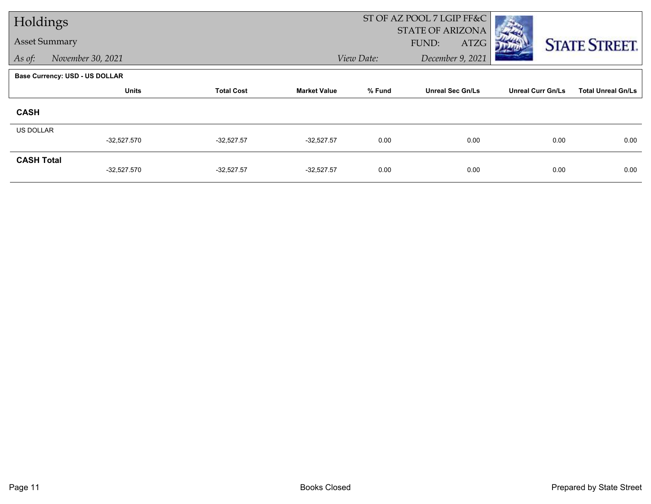| Holdings             |                                       |                   |                     |            | ST OF AZ POOL 7 LGIP FF&C |                          |                           |
|----------------------|---------------------------------------|-------------------|---------------------|------------|---------------------------|--------------------------|---------------------------|
|                      |                                       |                   |                     |            | <b>STATE OF ARIZONA</b>   |                          |                           |
| <b>Asset Summary</b> |                                       |                   |                     |            | FUND:<br>ATZG             |                          | <b>STATE STREET.</b>      |
| As of:               | November 30, 2021                     |                   |                     | View Date: | December 9, 2021          |                          |                           |
|                      | <b>Base Currency: USD - US DOLLAR</b> |                   |                     |            |                           |                          |                           |
|                      | <b>Units</b>                          | <b>Total Cost</b> | <b>Market Value</b> | % Fund     | <b>Unreal Sec Gn/Ls</b>   | <b>Unreal Curr Gn/Ls</b> | <b>Total Unreal Gn/Ls</b> |
| <b>CASH</b>          |                                       |                   |                     |            |                           |                          |                           |
| <b>US DOLLAR</b>     |                                       |                   |                     |            |                           |                          |                           |
|                      | $-32,527.570$                         | $-32,527.57$      | $-32,527.57$        | 0.00       | 0.00                      | 0.00                     | 0.00                      |
| <b>CASH Total</b>    |                                       |                   |                     |            |                           |                          |                           |
|                      | $-32,527.570$                         | $-32,527.57$      | $-32,527.57$        | 0.00       | 0.00                      | 0.00                     | 0.00                      |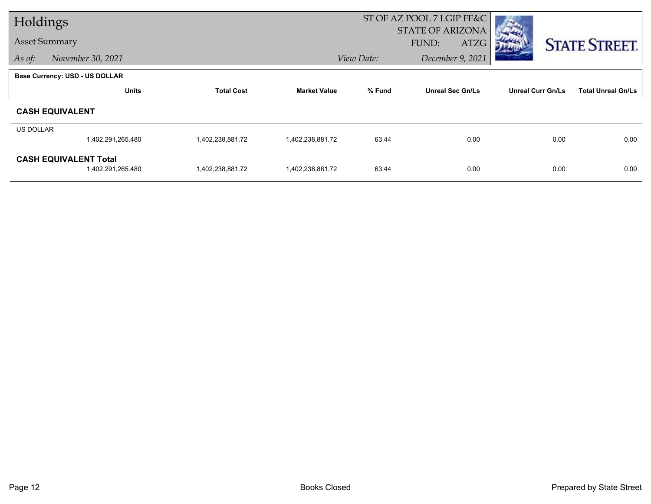| Holdings             |                                       |                   |                     | ST OF AZ POOL 7 LGIP FF&C |                                  |                          |                           |
|----------------------|---------------------------------------|-------------------|---------------------|---------------------------|----------------------------------|--------------------------|---------------------------|
| <b>Asset Summary</b> |                                       |                   |                     |                           | <b>STATE OF ARIZONA</b><br>FUND: |                          |                           |
|                      |                                       |                   |                     |                           | ATZG                             |                          | <b>STATE STREET.</b>      |
| As of:               | November 30, 2021                     |                   |                     | View Date:                | December 9, 2021                 |                          |                           |
|                      | <b>Base Currency: USD - US DOLLAR</b> |                   |                     |                           |                                  |                          |                           |
|                      | <b>Units</b>                          | <b>Total Cost</b> | <b>Market Value</b> | % Fund                    | <b>Unreal Sec Gn/Ls</b>          | <b>Unreal Curr Gn/Ls</b> | <b>Total Unreal Gn/Ls</b> |
|                      | <b>CASH EQUIVALENT</b>                |                   |                     |                           |                                  |                          |                           |
| <b>US DOLLAR</b>     |                                       |                   |                     |                           |                                  |                          |                           |
|                      | 1,402,291,265.480                     | 1,402,238,881.72  | 1,402,238,881.72    | 63.44                     | 0.00                             | 0.00                     | 0.00                      |
|                      | <b>CASH EQUIVALENT Total</b>          |                   |                     |                           |                                  |                          |                           |
|                      | 1,402,291,265.480                     | 1,402,238,881.72  | 1,402,238,881.72    | 63.44                     | 0.00                             | 0.00                     | 0.00                      |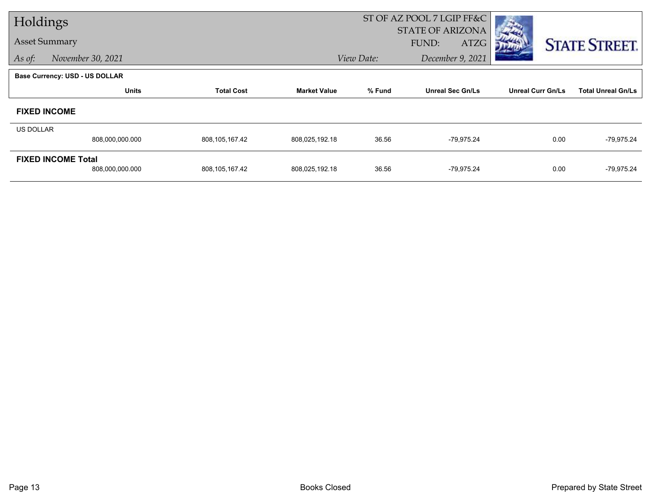| Holdings  |                                |                   |                     |            | ST OF AZ POOL 7 LGIP FF&C |                          |                           |
|-----------|--------------------------------|-------------------|---------------------|------------|---------------------------|--------------------------|---------------------------|
|           |                                |                   |                     |            | <b>STATE OF ARIZONA</b>   |                          |                           |
|           | <b>Asset Summary</b>           |                   |                     |            | FUND:<br>ATZG             |                          | <b>STATE STREET.</b>      |
| As of:    | November 30, 2021              |                   |                     | View Date: | December 9, 2021          |                          |                           |
|           | Base Currency: USD - US DOLLAR |                   |                     |            |                           |                          |                           |
|           | <b>Units</b>                   | <b>Total Cost</b> | <b>Market Value</b> | % Fund     | <b>Unreal Sec Gn/Ls</b>   | <b>Unreal Curr Gn/Ls</b> | <b>Total Unreal Gn/Ls</b> |
|           | <b>FIXED INCOME</b>            |                   |                     |            |                           |                          |                           |
| US DOLLAR |                                |                   |                     |            |                           |                          |                           |
|           | 808,000,000.000                | 808,105,167.42    | 808,025,192.18      | 36.56      | -79,975.24                | 0.00                     | $-79,975.24$              |
|           | <b>FIXED INCOME Total</b>      |                   |                     |            |                           |                          |                           |
|           | 808,000,000.000                | 808,105,167.42    | 808,025,192.18      | 36.56      | -79,975.24                | 0.00                     | $-79,975.24$              |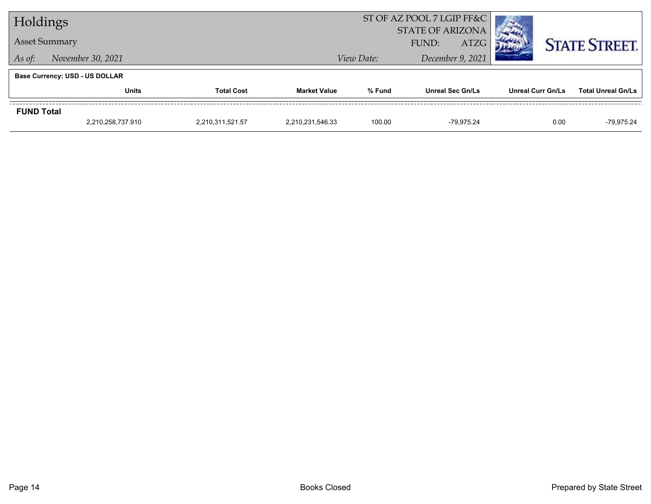| Holdings                                            |                                       |  | ST OF AZ POOL 7 LGIP FF&C              |                                         |                         |                          |                           |  |  |
|-----------------------------------------------------|---------------------------------------|--|----------------------------------------|-----------------------------------------|-------------------------|--------------------------|---------------------------|--|--|
|                                                     |                                       |  | <b>STATE OF ARIZONA</b><br><b>ATZG</b> |                                         |                         |                          |                           |  |  |
| <b>Asset Summary</b><br>November 30, 2021<br>As of: |                                       |  |                                        | FUND:<br>December 9, 2021<br>View Date: |                         |                          | <b>STATE STREET.</b>      |  |  |
|                                                     |                                       |  |                                        |                                         |                         |                          |                           |  |  |
|                                                     | <b>Base Currency: USD - US DOLLAR</b> |  |                                        |                                         |                         |                          |                           |  |  |
|                                                     | <b>Total Cost</b><br><b>Units</b>     |  | <b>Market Value</b>                    | % Fund                                  | <b>Unreal Sec Gn/Ls</b> | <b>Unreal Curr Gn/Ls</b> | <b>Total Unreal Gn/Ls</b> |  |  |
| <b>FUND Total</b>                                   |                                       |  |                                        |                                         |                         |                          |                           |  |  |
|                                                     | 2,210,258,737.910<br>2,210,311,521.57 |  | 2,210,231,546.33                       | 100.00                                  | -79.975.24              | 0.00                     | -79.975.24                |  |  |